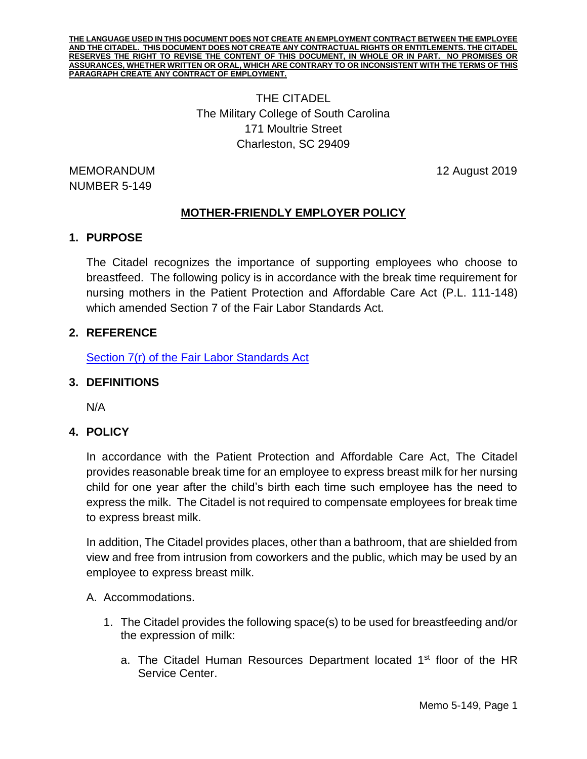**THE LANGUAGE USED IN THIS DOCUMENT DOES NOT CREATE AN EMPLOYMENT CONTRACT BETWEEN THE EMPLOYEE AND THE CITADEL. THIS DOCUMENT DOES NOT CREATE ANY CONTRACTUAL RIGHTS OR ENTITLEMENTS. THE CITADEL RESERVES THE RIGHT TO REVISE THE CONTENT OF THIS DOCUMENT, IN WHOLE OR IN PART. NO PROMISES OR ASSURANCES, WHETHER WRITTEN OR ORAL, WHICH ARE CONTRARY TO OR INCONSISTENT WITH THE TERMS OF THIS PARAGRAPH CREATE ANY CONTRACT OF EMPLOYMENT.**

# THE CITADEL The Military College of South Carolina 171 Moultrie Street Charleston, SC 29409

MEMORANDUM 12 August 2019 NUMBER 5-149

# **MOTHER-FRIENDLY EMPLOYER POLICY**

# **1. PURPOSE**

The Citadel recognizes the importance of supporting employees who choose to breastfeed. The following policy is in accordance with the break time requirement for nursing mothers in the Patient Protection and Affordable Care Act (P.L. 111-148) which amended Section 7 of the Fair Labor Standards Act.

## **2. REFERENCE**

[Section 7\(r\) of the Fair Labor Standards Act](https://www.dol.gov/whd/nursingmothers/Sec7rFLSA_btnm.htm)

## **3. DEFINITIONS**

N/A

# **4. POLICY**

In accordance with the Patient Protection and Affordable Care Act, The Citadel provides reasonable break time for an employee to express breast milk for her nursing child for one year after the child's birth each time such employee has the need to express the milk. The Citadel is not required to compensate employees for break time to express breast milk.

In addition, The Citadel provides places, other than a bathroom, that are shielded from view and free from intrusion from coworkers and the public, which may be used by an employee to express breast milk.

#### A. Accommodations.

- 1. The Citadel provides the following space(s) to be used for breastfeeding and/or the expression of milk:
	- a. The Citadel Human Resources Department located  $1<sup>st</sup>$  floor of the HR Service Center.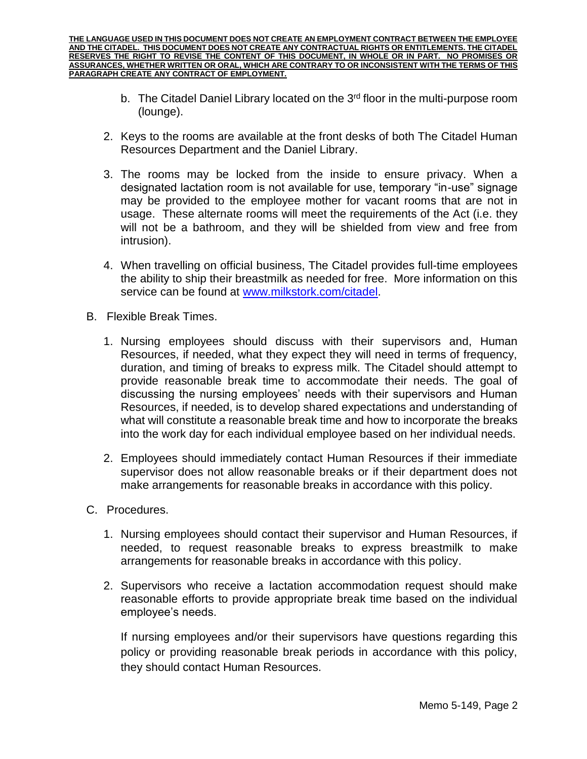**THE LANGUAGE USED IN THIS DOCUMENT DOES NOT CREATE AN EMPLOYMENT CONTRACT BETWEEN THE EMPLOYEE AND THE CITADEL. THIS DOCUMENT DOES NOT CREATE ANY CONTRACTUAL RIGHTS OR ENTITLEMENTS. THE CITADEL RESERVES THE RIGHT TO REVISE THE CONTENT OF THIS DOCUMENT, IN WHOLE OR IN PART. NO PROMISES OR ASSURANCES, WHETHER WRITTEN OR ORAL, WHICH ARE CONTRARY TO OR INCONSISTENT WITH THE TERMS OF THIS PARAGRAPH CREATE ANY CONTRACT OF EMPLOYMENT.**

- b. The Citadel Daniel Library located on the  $3<sup>rd</sup>$  floor in the multi-purpose room (lounge).
- 2. Keys to the rooms are available at the front desks of both The Citadel Human Resources Department and the Daniel Library.
- 3. The rooms may be locked from the inside to ensure privacy. When a designated lactation room is not available for use, temporary "in-use" signage may be provided to the employee mother for vacant rooms that are not in usage. These alternate rooms will meet the requirements of the Act (i.e. they will not be a bathroom, and they will be shielded from view and free from intrusion).
- 4. When travelling on official business, The Citadel provides full-time employees the ability to ship their breastmilk as needed for free. More information on this service can be found at [www.milkstork.com/citadel.](http://www.milkstork.com/citadel)
- B. Flexible Break Times.
	- 1. Nursing employees should discuss with their supervisors and, Human Resources, if needed, what they expect they will need in terms of frequency, duration, and timing of breaks to express milk. The Citadel should attempt to provide reasonable break time to accommodate their needs. The goal of discussing the nursing employees' needs with their supervisors and Human Resources, if needed, is to develop shared expectations and understanding of what will constitute a reasonable break time and how to incorporate the breaks into the work day for each individual employee based on her individual needs.
	- 2. Employees should immediately contact Human Resources if their immediate supervisor does not allow reasonable breaks or if their department does not make arrangements for reasonable breaks in accordance with this policy.
- C. Procedures.
	- 1. Nursing employees should contact their supervisor and Human Resources, if needed, to request reasonable breaks to express breastmilk to make arrangements for reasonable breaks in accordance with this policy.
	- 2. Supervisors who receive a lactation accommodation request should make reasonable efforts to provide appropriate break time based on the individual employee's needs.

If nursing employees and/or their supervisors have questions regarding this policy or providing reasonable break periods in accordance with this policy, they should contact Human Resources.